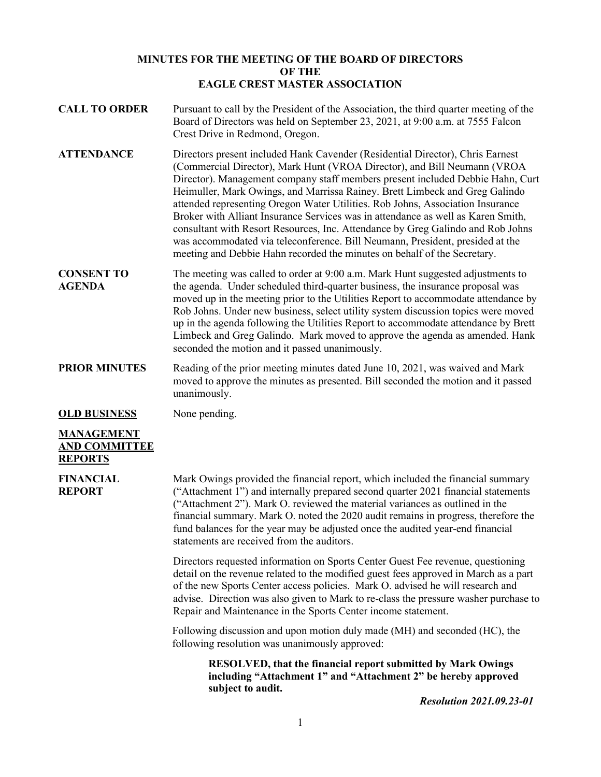### **MINUTES FOR THE MEETING OF THE BOARD OF DIRECTORS OF THE EAGLE CREST MASTER ASSOCIATION**

- **CALL TO ORDER** Pursuant to call by the President of the Association, the third quarter meeting of the Board of Directors was held on September 23, 2021, at 9:00 a.m. at 7555 Falcon Crest Drive in Redmond, Oregon.
- **ATTENDANCE** Directors present included Hank Cavender (Residential Director), Chris Earnest (Commercial Director), Mark Hunt (VROA Director), and Bill Neumann (VROA Director). Management company staff members present included Debbie Hahn, Curt Heimuller, Mark Owings, and Marrissa Rainey. Brett Limbeck and Greg Galindo attended representing Oregon Water Utilities. Rob Johns, Association Insurance Broker with Alliant Insurance Services was in attendance as well as Karen Smith, consultant with Resort Resources, Inc. Attendance by Greg Galindo and Rob Johns was accommodated via teleconference. Bill Neumann, President, presided at the meeting and Debbie Hahn recorded the minutes on behalf of the Secretary.
- **CONSENT TO AGENDA** The meeting was called to order at 9:00 a.m. Mark Hunt suggested adjustments to the agenda. Under scheduled third-quarter business, the insurance proposal was moved up in the meeting prior to the Utilities Report to accommodate attendance by Rob Johns. Under new business, select utility system discussion topics were moved up in the agenda following the Utilities Report to accommodate attendance by Brett Limbeck and Greg Galindo. Mark moved to approve the agenda as amended. Hank seconded the motion and it passed unanimously.
- **PRIOR MINUTES** Reading of the prior meeting minutes dated June 10, 2021, was waived and Mark moved to approve the minutes as presented. Bill seconded the motion and it passed unanimously.

**OLD BUSINESS** None pending.

# **MANAGEMENT AND COMMITTEE REPORTS**

**FINANCIAL REPORT**

Mark Owings provided the financial report, which included the financial summary ("Attachment 1") and internally prepared second quarter 2021 financial statements ("Attachment 2"). Mark O. reviewed the material variances as outlined in the financial summary. Mark O. noted the 2020 audit remains in progress, therefore the fund balances for the year may be adjusted once the audited year-end financial statements are received from the auditors.

Directors requested information on Sports Center Guest Fee revenue, questioning detail on the revenue related to the modified guest fees approved in March as a part of the new Sports Center access policies. Mark O. advised he will research and advise. Direction was also given to Mark to re-class the pressure washer purchase to Repair and Maintenance in the Sports Center income statement.

Following discussion and upon motion duly made (MH) and seconded (HC), the following resolution was unanimously approved:

**RESOLVED, that the financial report submitted by Mark Owings including "Attachment 1" and "Attachment 2" be hereby approved subject to audit.**

*Resolution 2021.09.23-01*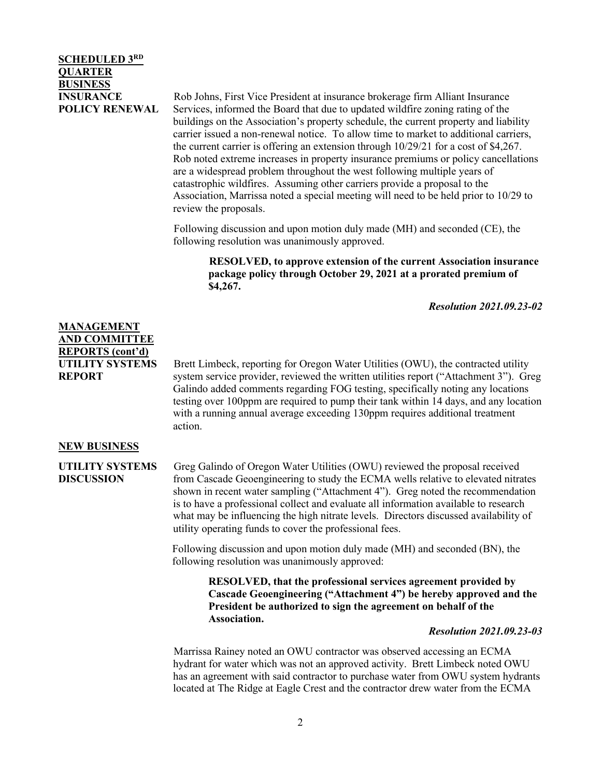## **SCHEDULED 3RD QUARTER BUSINESS INSURANCE POLICY RENEWAL**

Rob Johns, First Vice President at insurance brokerage firm Alliant Insurance Services, informed the Board that due to updated wildfire zoning rating of the buildings on the Association's property schedule, the current property and liability carrier issued a non-renewal notice. To allow time to market to additional carriers, the current carrier is offering an extension through 10/29/21 for a cost of \$4,267. Rob noted extreme increases in property insurance premiums or policy cancellations are a widespread problem throughout the west following multiple years of catastrophic wildfires. Assuming other carriers provide a proposal to the Association, Marrissa noted a special meeting will need to be held prior to 10/29 to review the proposals.

Following discussion and upon motion duly made (MH) and seconded (CE), the following resolution was unanimously approved.

**RESOLVED, to approve extension of the current Association insurance package policy through October 29, 2021 at a prorated premium of \$4,267.** 

*Resolution 2021.09.23-02*

### **MANAGEMENT AND COMMITTEE REPORTS (cont'd) UTILITY SYSTEMS REPORT**

Brett Limbeck, reporting for Oregon Water Utilities (OWU), the contracted utility system service provider, reviewed the written utilities report ("Attachment 3"). Greg Galindo added comments regarding FOG testing, specifically noting any locations testing over 100ppm are required to pump their tank within 14 days, and any location with a running annual average exceeding 130ppm requires additional treatment action.

#### **NEW BUSINESS**

**UTILITY SYSTEMS DISCUSSION**

Greg Galindo of Oregon Water Utilities (OWU) reviewed the proposal received from Cascade Geoengineering to study the ECMA wells relative to elevated nitrates shown in recent water sampling ("Attachment 4"). Greg noted the recommendation is to have a professional collect and evaluate all information available to research what may be influencing the high nitrate levels. Directors discussed availability of utility operating funds to cover the professional fees.

Following discussion and upon motion duly made (MH) and seconded (BN), the following resolution was unanimously approved:

> **RESOLVED, that the professional services agreement provided by Cascade Geoengineering ("Attachment 4") be hereby approved and the President be authorized to sign the agreement on behalf of the Association.**

#### *Resolution 2021.09.23-03*

Marrissa Rainey noted an OWU contractor was observed accessing an ECMA hydrant for water which was not an approved activity. Brett Limbeck noted OWU has an agreement with said contractor to purchase water from OWU system hydrants located at The Ridge at Eagle Crest and the contractor drew water from the ECMA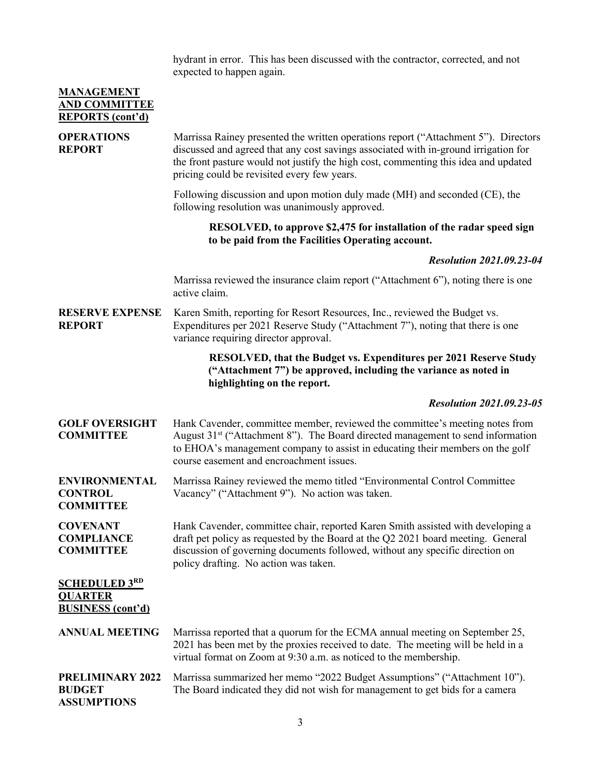|                                                   | hydrant in error. This has been discussed with the contractor, corrected, and not<br>expected to happen again. |  |
|---------------------------------------------------|----------------------------------------------------------------------------------------------------------------|--|
| <b>MANAGEMENT</b><br><b>AND COMMITTEE</b>         |                                                                                                                |  |
| REPORTS (cont'd)                                  |                                                                                                                |  |
| $\Omega$ <sub>DED</sub> $\Omega$ <sub>Leman</sub> | $M = 1 - 1$ $M = 1$ $M = 1$ $M = 1$ $M = 1$ $M = 1$ $M = 1$                                                    |  |

| <b>OPERATIONS</b><br><b>REPORT</b>                                 | Marrissa Rainey presented the written operations report ("Attachment 5"). Directors<br>discussed and agreed that any cost savings associated with in-ground irrigation for<br>the front pasture would not justify the high cost, commenting this idea and updated<br>pricing could be revisited every few years. |
|--------------------------------------------------------------------|------------------------------------------------------------------------------------------------------------------------------------------------------------------------------------------------------------------------------------------------------------------------------------------------------------------|
|                                                                    | Following discussion and upon motion duly made (MH) and seconded (CE), the<br>following resolution was unanimously approved.                                                                                                                                                                                     |
|                                                                    | RESOLVED, to approve \$2,475 for installation of the radar speed sign<br>to be paid from the Facilities Operating account.                                                                                                                                                                                       |
|                                                                    | <b>Resolution 2021.09.23-04</b>                                                                                                                                                                                                                                                                                  |
|                                                                    | Marrissa reviewed the insurance claim report ("Attachment 6"), noting there is one<br>active claim.                                                                                                                                                                                                              |
| <b>RESERVE EXPENSE</b><br><b>REPORT</b>                            | Karen Smith, reporting for Resort Resources, Inc., reviewed the Budget vs.<br>Expenditures per 2021 Reserve Study ("Attachment 7"), noting that there is one<br>variance requiring director approval.                                                                                                            |
|                                                                    | RESOLVED, that the Budget vs. Expenditures per 2021 Reserve Study<br>("Attachment 7") be approved, including the variance as noted in<br>highlighting on the report.                                                                                                                                             |
|                                                                    | <b>Resolution 2021.09.23-05</b>                                                                                                                                                                                                                                                                                  |
| <b>GOLF OVERSIGHT</b><br><b>COMMITTEE</b>                          | Hank Cavender, committee member, reviewed the committee's meeting notes from<br>August 31 <sup>st</sup> ("Attachment 8"). The Board directed management to send information<br>to EHOA's management company to assist in educating their members on the golf<br>course easement and encroachment issues.         |
| <b>ENVIRONMENTAL</b><br><b>CONTROL</b><br><b>COMMITTEE</b>         | Marrissa Rainey reviewed the memo titled "Environmental Control Committee"<br>Vacancy" ("Attachment 9"). No action was taken.                                                                                                                                                                                    |
| <b>COVENANT</b><br><b>COMPLIANCE</b><br><b>COMMITTEE</b>           | Hank Cavender, committee chair, reported Karen Smith assisted with developing a<br>draft pet policy as requested by the Board at the Q2 2021 board meeting. General<br>discussion of governing documents followed, without any specific direction on<br>policy drafting. No action was taken.                    |
| <b>SCHEDULED 3RD</b><br><b>QUARTER</b><br><b>BUSINESS</b> (cont'd) |                                                                                                                                                                                                                                                                                                                  |
| <b>ANNUAL MEETING</b>                                              | Marrissa reported that a quorum for the ECMA annual meeting on September 25,<br>2021 has been met by the proxies received to date. The meeting will be held in a<br>virtual format on Zoom at 9:30 a.m. as noticed to the membership.                                                                            |
| PRELIMINARY 2022<br><b>BUDGET</b>                                  | Marrissa summarized her memo "2022 Budget Assumptions" ("Attachment 10").<br>The Board indicated they did not wish for management to get bids for a camera                                                                                                                                                       |

**ASSUMPTIONS**